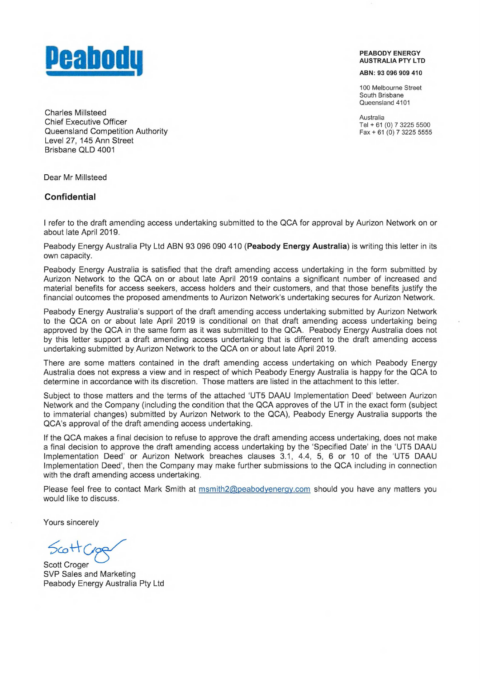

**PEABODY ENERGY AUSTRALIA PTY LTD** 

**ABN:** 93 096 909 410

100 Melbourne Street South Brisbane Queensland 4101

Australia Tel + 61(0) 7 3225 5500  $Fax + 61(0)$  7 3225 5555

Charles Millsteed Chief Executive Officer Queensland Competition Authority Level 27, 145 Ann Street Brisbane QLD 4001

Dear Mr Millsteed

## **Confidential**

I refer to the draft amending access undertaking submitted to the QCA for approval by Aurizon Network on or about late April 2019.

Peabody Energy Australia Pty Ltd ABN 93 096 090 410 **(Peabody Energy Australia)** is writing this letter in its own capacity.

Peabody Energy Australia is satisfied that the draft amending access undertaking in the form submitted by Aurizon Network to the QCA on or about late April 2019 contains a significant number of increased and material benefits for access seekers, access holders and their customers, and that those benefits justify the financial outcomes the proposed amendments to Aurizon Network's undertaking secures for Aurizon Network.

Peabody Energy Australia's support of the draft amending access undertaking submitted by Aurizon Network to the QCA on or about late April 2019 is conditional on that draft amending access undertaking being approved by the QCA in the same form as it was submitted to the QCA. Peabody Energy Australia does not by this letter support a draft amending access undertaking that is different to the draft amending access undertaking submitted by Aurizon Network to the QCA on or about late April 2019.

There are some matters contained in the draft amending access undertaking on which Peabody Energy Australia does not express a view and in respect of which Peabody Energy Australia is happy for the QCA to determine in accordance with its discretion. Those matters are listed in the attachment to this letter.

Subject to those matters and the terms of the attached 'UT5 DAAU Implementation Deed' between Aurizon Network and the Company (including the condition that the QCA approves of the UT in the exact form (subject to immaterial changes) submitted by Aurizon Network to the QCA), Peabody Energy Australia supports the QCA's approval of the draft amending access undertaking.

If the QCA makes a final decision to refuse to approve the draft amending access undertaking, does not make a final decision to approve the draft amending access undertaking by the 'Specified Date' in the `UT5 DAAU Implementation Deed' or Aurizon Network breaches clauses 3.1, 4.4, 5, 6 or 10 of the `UT5 DAAU Implementation Deed', then the Company may make further submissions to the QCA including in connection with the draft amending access undertaking.

Please feel free to contact Mark Smith at msmith2@peabodyenergy.com should you have any matters you would like to discuss.

Yours sincerely

 $5cottC$ 

Scott Croger SVP Sales and Marketing Peabody Energy Australia Pty Ltd